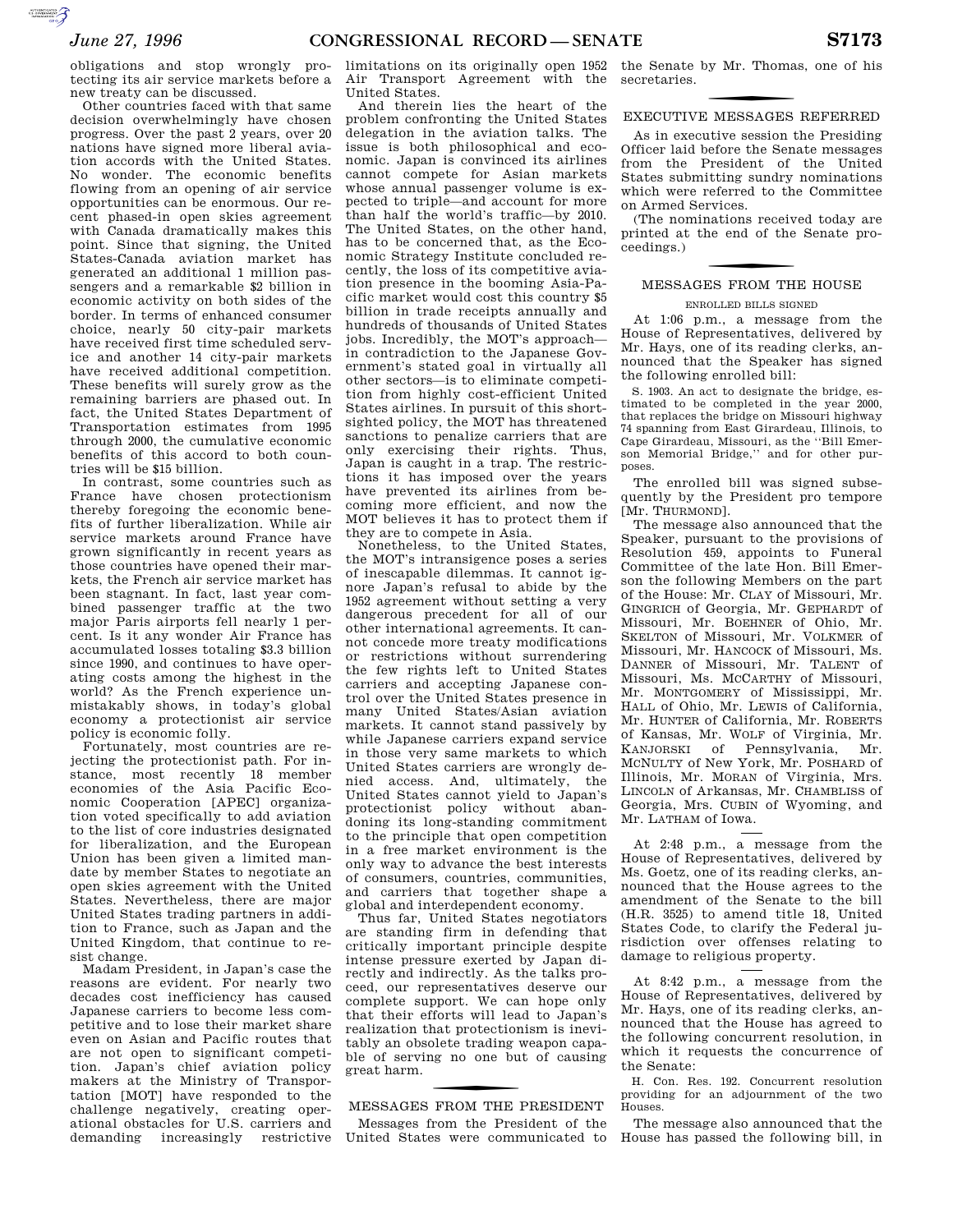**SUPERING THE CONTROL** 

obligations and stop wrongly protecting its air service markets before a new treaty can be discussed.

Other countries faced with that same decision overwhelmingly have chosen progress. Over the past 2 years, over 20 nations have signed more liberal aviation accords with the United States. No wonder. The economic benefits flowing from an opening of air service opportunities can be enormous. Our recent phased-in open skies agreement with Canada dramatically makes this point. Since that signing, the United States-Canada aviation market has generated an additional 1 million passengers and a remarkable \$2 billion in economic activity on both sides of the border. In terms of enhanced consumer choice, nearly 50 city-pair markets have received first time scheduled service and another 14 city-pair markets have received additional competition. These benefits will surely grow as the remaining barriers are phased out. In fact, the United States Department of Transportation estimates from 1995 through 2000, the cumulative economic benefits of this accord to both countries will be \$15 billion.

In contrast, some countries such as France have chosen protectionism thereby foregoing the economic benefits of further liberalization. While air service markets around France have grown significantly in recent years as those countries have opened their markets, the French air service market has been stagnant. In fact, last year combined passenger traffic at the two major Paris airports fell nearly 1 percent. Is it any wonder Air France has accumulated losses totaling \$3.3 billion since 1990, and continues to have operating costs among the highest in the world? As the French experience unmistakably shows, in today's global economy a protectionist air service policy is economic folly.

Fortunately, most countries are rejecting the protectionist path. For instance, most recently 18 member economies of the Asia Pacific Economic Cooperation [APEC] organization voted specifically to add aviation to the list of core industries designated for liberalization, and the European Union has been given a limited mandate by member States to negotiate an open skies agreement with the United States. Nevertheless, there are major United States trading partners in addition to France, such as Japan and the United Kingdom, that continue to resist change.

Madam President, in Japan's case the reasons are evident. For nearly two decades cost inefficiency has caused Japanese carriers to become less competitive and to lose their market share even on Asian and Pacific routes that are not open to significant competition. Japan's chief aviation policy makers at the Ministry of Transportation [MOT] have responded to the challenge negatively, creating operational obstacles for U.S. carriers and demanding increasingly restrictive

limitations on its originally open 1952 Air Transport Agreement with the United States.

And therein lies the heart of the problem confronting the United States delegation in the aviation talks. The issue is both philosophical and economic. Japan is convinced its airlines cannot compete for Asian markets whose annual passenger volume is expected to triple—and account for more than half the world's traffic—by 2010. The United States, on the other hand, has to be concerned that, as the Economic Strategy Institute concluded recently, the loss of its competitive aviation presence in the booming Asia-Pacific market would cost this country \$5 billion in trade receipts annually and hundreds of thousands of United States jobs. Incredibly, the MOT's approach in contradiction to the Japanese Government's stated goal in virtually all other sectors—is to eliminate competition from highly cost-efficient United States airlines. In pursuit of this shortsighted policy, the MOT has threatened sanctions to penalize carriers that are only exercising their rights. Thus, Japan is caught in a trap. The restrictions it has imposed over the years have prevented its airlines from becoming more efficient, and now the MOT believes it has to protect them if they are to compete in Asia.

Nonetheless, to the United States, the MOT's intransigence poses a series of inescapable dilemmas. It cannot ignore Japan's refusal to abide by the 1952 agreement without setting a very dangerous precedent for all of our other international agreements. It cannot concede more treaty modifications or restrictions without surrendering the few rights left to United States carriers and accepting Japanese control over the United States presence in many United States/Asian aviation markets. It cannot stand passively by while Japanese carriers expand service in those very same markets to which United States carriers are wrongly denied access. And, ultimately, the United States cannot yield to Japan's protectionist policy without abandoning its long-standing commitment to the principle that open competition in a free market environment is the only way to advance the best interests of consumers, countries, communities, and carriers that together shape a global and interdependent economy.

Thus far, United States negotiators are standing firm in defending that critically important principle despite intense pressure exerted by Japan directly and indirectly. As the talks proceed, our representatives deserve our complete support. We can hope only that their efforts will lead to Japan's realization that protectionism is inevitably an obsolete trading weapon capable of serving no one but of causing great harm.

f MESSAGES FROM THE PRESIDENT

Messages from the President of the United States were communicated to the Senate by Mr. Thomas, one of his secretaries.

## f EXECUTIVE MESSAGES REFERRED

As in executive session the Presiding Officer laid before the Senate messages from the President of the United States submitting sundry nominations which were referred to the Committee on Armed Services.

(The nominations received today are printed at the end of the Senate proceedings.)

## f MESSAGES FROM THE HOUSE

ENROLLED BILLS SIGNED At 1:06 p.m., a message from the House of Representatives, delivered by

Mr. Hays, one of its reading clerks, announced that the Speaker has signed the following enrolled bill: S. 1903. An act to designate the bridge, es-

timated to be completed in the year 2000, that replaces the bridge on Missouri highway 74 spanning from East Girardeau, Illinois, to Cape Girardeau, Missouri, as the ''Bill Emerson Memorial Bridge,'' and for other purposes.

The enrolled bill was signed subsequently by the President pro tempore [Mr. THURMOND].

The message also announced that the Speaker, pursuant to the provisions of Resolution 459, appoints to Funeral Committee of the late Hon. Bill Emerson the following Members on the part of the House: Mr. CLAY of Missouri, Mr. GINGRICH of Georgia, Mr. GEPHARDT of Missouri, Mr. BOEHNER of Ohio, Mr. SKELTON of Missouri, Mr. VOLKMER of Missouri, Mr. HANCOCK of Missouri, Ms. DANNER of Missouri, Mr. TALENT of Missouri, Ms. MCCARTHY of Missouri, Mr. MONTGOMERY of Mississippi, Mr. HALL of Ohio, Mr. LEWIS of California, Mr. HUNTER of California, Mr. ROBERTS of Kansas, Mr. WOLF of Virginia, Mr. KANJORSKI of Pennsylvania, Mr. MCNULTY of New York, Mr. POSHARD of Illinois, Mr. MORAN of Virginia, Mrs. LINCOLN of Arkansas, Mr. CHAMBLISS of Georgia, Mrs. CUBIN of Wyoming, and Mr. LATHAM of Iowa.

At 2:48 p.m., a message from the House of Representatives, delivered by Ms. Goetz, one of its reading clerks, announced that the House agrees to the amendment of the Senate to the bill (H.R. 3525) to amend title 18, United States Code, to clarify the Federal jurisdiction over offenses relating to damage to religious property.

At 8:42 p.m., a message from the House of Representatives, delivered by Mr. Hays, one of its reading clerks, announced that the House has agreed to the following concurrent resolution, in which it requests the concurrence of the Senate:

H. Con. Res. 192. Concurrent resolution providing for an adjournment of the two Houses.

The message also announced that the House has passed the following bill, in